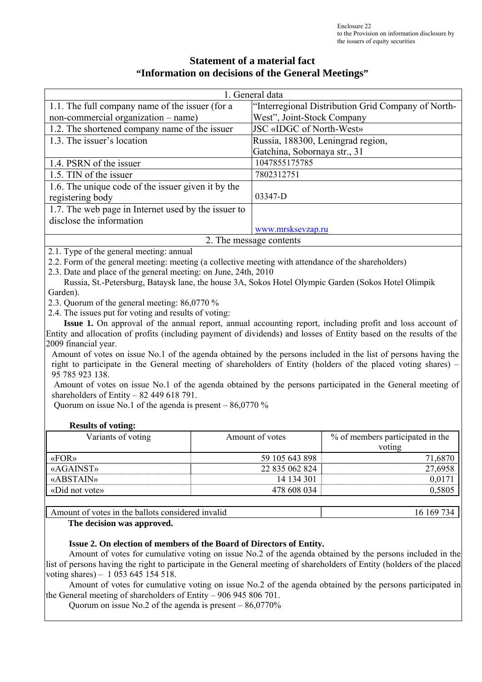## **Statement of a material fact "Information on decisions of the General Meetings"**

| 1. General data                                     |                                                    |  |  |
|-----------------------------------------------------|----------------------------------------------------|--|--|
| 1.1. The full company name of the issuer (for a     | "Interregional Distribution Grid Company of North- |  |  |
| non-commercial organization – name)                 | West", Joint-Stock Company                         |  |  |
| 1.2. The shortened company name of the issuer       | JSC «IDGC of North-West»                           |  |  |
| 1.3. The issuer's location                          | Russia, 188300, Leningrad region,                  |  |  |
|                                                     | Gatchina, Sobornaya str., 31                       |  |  |
| 1.4. PSRN of the issuer                             | 1047855175785                                      |  |  |
| 1.5. TIN of the issuer                              | 7802312751                                         |  |  |
| 1.6. The unique code of the issuer given it by the  |                                                    |  |  |
| registering body                                    | 03347-D                                            |  |  |
| 1.7. The web page in Internet used by the issuer to |                                                    |  |  |
| disclose the information                            |                                                    |  |  |
|                                                     | www.mrsksevzap.ru                                  |  |  |
| 2. The message contents                             |                                                    |  |  |

2.1. Type of the general meeting: annual

2.2. Form of the general meeting: meeting (a collective meeting with attendance of the shareholders)

2.3. Date and place of the general meeting: on June, 24th, 2010

 Russia, St.-Petersburg, Bataysk lane, the house 3A, Sokos Hotel Olympic Garden (Sokos Hotel Olimpik Garden).

2.3. Quorum of the general meeting: 86,0770 %

2.4. The issues put for voting and results of voting:

 **Issue 1.** On approval of the annual report, annual accounting report, including profit and loss account of Entity and allocation of profits (including payment of dividends) and losses of Entity based on the results of the 2009 financial year.

Amount of votes on issue No.1 of the agenda obtained by the persons included in the list of persons having the right to participate in the General meeting of shareholders of Entity (holders of the placed voting shares) – 95 785 923 138.

 Amount of votes on issue No.1 of the agenda obtained by the persons participated in the General meeting of shareholders of Entity – 82 449 618 791.

Quorum on issue No.1 of the agenda is present  $-86,0770\%$ 

#### **Results of voting:**

| Variants of voting       | Amount of votes | % of members participated in the |
|--------------------------|-----------------|----------------------------------|
|                          |                 | voting                           |
| $\langle$ $K\rightarrow$ | 59 105 643 898  | 71,6870                          |
| «AGAINST»                | 22 835 062 824  | 27,6958                          |
| <b>«ABSTAIN»</b>         | 14 134 301      | 0.0171                           |
| «Did not vote»           | 478 608 034     | 0,5805                           |

#### Amount of votes in the ballots considered invalid 16 169 734

#### **The decision was approved.**

#### **Issue 2. On election of members of the Board of Directors of Entity.**

Amount of votes for cumulative voting on issue No.2 of the agenda obtained by the persons included in the list of persons having the right to participate in the General meeting of shareholders of Entity (holders of the placed voting shares) – 1 053 645 154 518.

Amount of votes for cumulative voting on issue No.2 of the agenda obtained by the persons participated in the General meeting of shareholders of Entity – 906 945 806 701.

Quorum on issue No.2 of the agenda is present – 86,0770%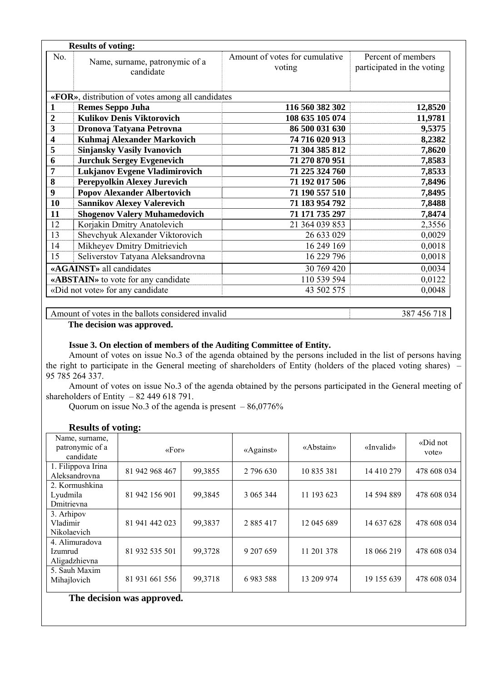| No.<br>Amount of votes for cumulative<br>Name, surname, patronymic of a<br>voting<br>candidate<br>«FOR», distribution of votes among all candidates<br><b>Remes Seppo Juha</b><br>116 560 382 302<br>1<br><b>Kulikov Denis Viktorovich</b><br>$\overline{2}$<br>108 635 105 074<br>3<br>86 500 031 630<br>Dronova Tatyana Petrovna<br>$\overline{\mathbf{4}}$<br>Kuhmaj Alexander Markovich<br>74 716 020 913<br><b>Sinjansky Vasily Ivanovich</b><br>5<br>71 304 385 812<br><b>Jurchuk Sergey Evgenevich</b><br>71 270 870 951<br>6<br>Lukjanov Evgene Vladimirovich<br>71 225 324 760<br>7<br>Perepyolkin Alexey Jurevich<br>8<br>71 192 017 506<br><b>Popov Alexander Albertovich</b><br>71 190 557 510<br>9<br><b>Sannikov Alexey Valerevich</b><br>10<br>71 183 954 792<br><b>Shogenov Valery Muhamedovich</b><br>11<br>71 171 735 297 | Percent of members<br>participated in the voting |
|---------------------------------------------------------------------------------------------------------------------------------------------------------------------------------------------------------------------------------------------------------------------------------------------------------------------------------------------------------------------------------------------------------------------------------------------------------------------------------------------------------------------------------------------------------------------------------------------------------------------------------------------------------------------------------------------------------------------------------------------------------------------------------------------------------------------------------------------|--------------------------------------------------|
|                                                                                                                                                                                                                                                                                                                                                                                                                                                                                                                                                                                                                                                                                                                                                                                                                                             |                                                  |
|                                                                                                                                                                                                                                                                                                                                                                                                                                                                                                                                                                                                                                                                                                                                                                                                                                             |                                                  |
|                                                                                                                                                                                                                                                                                                                                                                                                                                                                                                                                                                                                                                                                                                                                                                                                                                             | 12,8520                                          |
|                                                                                                                                                                                                                                                                                                                                                                                                                                                                                                                                                                                                                                                                                                                                                                                                                                             | 11,9781                                          |
|                                                                                                                                                                                                                                                                                                                                                                                                                                                                                                                                                                                                                                                                                                                                                                                                                                             | 9,5375                                           |
|                                                                                                                                                                                                                                                                                                                                                                                                                                                                                                                                                                                                                                                                                                                                                                                                                                             | 8,2382                                           |
|                                                                                                                                                                                                                                                                                                                                                                                                                                                                                                                                                                                                                                                                                                                                                                                                                                             | 7,8620                                           |
|                                                                                                                                                                                                                                                                                                                                                                                                                                                                                                                                                                                                                                                                                                                                                                                                                                             | 7,8583                                           |
|                                                                                                                                                                                                                                                                                                                                                                                                                                                                                                                                                                                                                                                                                                                                                                                                                                             | 7,8533                                           |
|                                                                                                                                                                                                                                                                                                                                                                                                                                                                                                                                                                                                                                                                                                                                                                                                                                             | 7,8496                                           |
|                                                                                                                                                                                                                                                                                                                                                                                                                                                                                                                                                                                                                                                                                                                                                                                                                                             | 7,8495                                           |
|                                                                                                                                                                                                                                                                                                                                                                                                                                                                                                                                                                                                                                                                                                                                                                                                                                             | 7,8488                                           |
|                                                                                                                                                                                                                                                                                                                                                                                                                                                                                                                                                                                                                                                                                                                                                                                                                                             | 7,8474                                           |
| Korjakin Dmitry Anatolevich<br>12<br>21 364 039 853                                                                                                                                                                                                                                                                                                                                                                                                                                                                                                                                                                                                                                                                                                                                                                                         | 2,3556                                           |
| Shevchyuk Alexander Viktorovich<br>13<br>26 633 029                                                                                                                                                                                                                                                                                                                                                                                                                                                                                                                                                                                                                                                                                                                                                                                         | 0,0029                                           |
| Mikheyev Dmitry Dmitrievich<br>16 249 169<br>14                                                                                                                                                                                                                                                                                                                                                                                                                                                                                                                                                                                                                                                                                                                                                                                             | 0,0018                                           |
| Seliverstov Tatyana Aleksandrovna<br>15<br>16 229 796                                                                                                                                                                                                                                                                                                                                                                                                                                                                                                                                                                                                                                                                                                                                                                                       | 0,0018                                           |
| «AGAINST» all candidates<br>30 769 420                                                                                                                                                                                                                                                                                                                                                                                                                                                                                                                                                                                                                                                                                                                                                                                                      | 0,0034                                           |
| 110 539 594<br>«ABSTAIN» to vote for any candidate                                                                                                                                                                                                                                                                                                                                                                                                                                                                                                                                                                                                                                                                                                                                                                                          | 0,0122                                           |
| «Did not vote» for any candidate<br>43 502 575                                                                                                                                                                                                                                                                                                                                                                                                                                                                                                                                                                                                                                                                                                                                                                                              | 0,0048                                           |

Amount of votes in the ballots considered invalid 387 456 718

 **The decision was approved.**

#### **Issue 3. On election of members of the Auditing Committee of Entity.**

Amount of votes on issue No.3 of the agenda obtained by the persons included in the list of persons having the right to participate in the General meeting of shareholders of Entity (holders of the placed voting shares) – 95 785 264 337.

Amount of votes on issue No.3 of the agenda obtained by the persons participated in the General meeting of shareholders of Entity  $-82449618791$ .

Quorum on issue No.3 of the agenda is present  $-86,0776%$ 

| Name, surname,<br>patronymic of a<br>candidate | $\langle \sqrt{F}$ or» |         | «Against»     | «Abstain»  | «Invalid»  | «Did not<br>vote» |
|------------------------------------------------|------------------------|---------|---------------|------------|------------|-------------------|
| 1. Filippova Irina<br>Aleksandrovna            | 81 942 968 467         | 99,3855 | 2 796 630     | 10 835 381 | 14 410 279 | 478 608 034       |
| 2. Kormushkina<br>Lyudmila<br>Dmitrievna       | 81 942 156 901         | 99,3845 | 3 065 344     | 11 193 623 | 14 594 889 | 478 608 034       |
| 3. Arhipov<br>Vladimir<br>Nikolaevich          | 81 941 442 023         | 99,3837 | 2 8 8 5 4 1 7 | 12 045 689 | 14 637 628 | 478 608 034       |
| 4. Alimuradova<br>Izumrud<br>Aligadzhievna     | 81 932 535 501         | 99,3728 | 9 207 659     | 11 201 378 | 18 066 219 | 478 608 034       |
| 5. Sauh Maxim<br>Mihajlovich                   | 81 931 661 556         | 99,3718 | 6983588       | 13 209 974 | 19 155 639 | 478 608 034       |
| The decision was approved.                     |                        |         |               |            |            |                   |

#### **Results of voting:**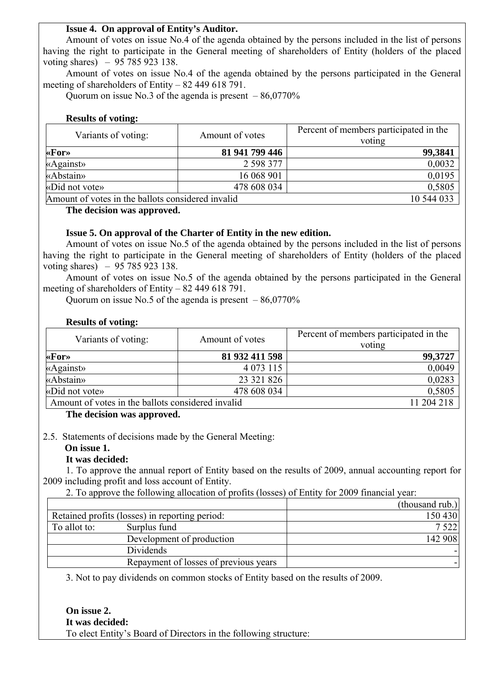### **Issue 4. On approval of Entity's Auditor.**

Amount of votes on issue No.4 of the agenda obtained by the persons included in the list of persons having the right to participate in the General meeting of shareholders of Entity (holders of the placed voting shares) – 95 785 923 138.

Amount of votes on issue No.4 of the agenda obtained by the persons participated in the General meeting of shareholders of Entity – 82 449 618 791.

Ouorum on issue No.3 of the agenda is present  $-86,0770\%$ 

#### **Results of voting:**

| Variants of voting:                               | Amount of votes | Percent of members participated in the<br>voting |
|---------------------------------------------------|-----------------|--------------------------------------------------|
| $\star$ For $\star$                               | 81 941 799 446  | 99,3841                                          |
| «Against»                                         | 2 598 377       | 0,0032                                           |
| «Abstain»                                         | 16 068 901      | 0,0195                                           |
| «Did not vote»                                    | 478 608 034     | 0,5805                                           |
| Amount of votes in the ballots considered invalid | 10 544 033      |                                                  |

**The decision was approved.** 

#### **Issue 5. On approval of the Charter of Entity in the new edition.**

Amount of votes on issue No.5 of the agenda obtained by the persons included in the list of persons having the right to participate in the General meeting of shareholders of Entity (holders of the placed voting shares) – 95 785 923 138.

Amount of votes on issue No.5 of the agenda obtained by the persons participated in the General meeting of shareholders of Entity – 82 449 618 791.

Ouorum on issue No.5 of the agenda is present  $-86,0770\%$ 

| Variants of voting:                               | Amount of votes | Percent of members participated in the<br>voting |
|---------------------------------------------------|-----------------|--------------------------------------------------|
| $\star$ For»                                      | 81 932 411 598  | 99,3727                                          |
| «Against»                                         | 4 0 73 115      | 0,0049                                           |
| «Abstain»                                         | 23 321 826      | 0,0283                                           |
| «Did not vote»                                    | 478 608 034     | 0,5805                                           |
| Amount of votes in the ballots considered invalid |                 | 11 204 218                                       |

# **The decision was approved.**

2.5. Statements of decisions made by the General Meeting:

#### **On issue 1.**

#### **It was decided:**

**Results of voting:** 

1. To approve the annual report of Entity based on the results of 2009, annual accounting report for 2009 including profit and loss account of Entity.

2. To approve the following allocation of profits (losses) of Entity for 2009 financial year:

|              |                                                | (thousand rub.) |
|--------------|------------------------------------------------|-----------------|
|              | Retained profits (losses) in reporting period: | 150 430         |
| To allot to: | Surplus fund                                   | 7 5 2 2         |
|              | Development of production                      | 142 908         |
|              | Dividends                                      |                 |
|              | Repayment of losses of previous years          |                 |

3. Not to pay dividends on common stocks of Entity based on the results of 2009.

**On issue 2. It was decided:**  To elect Entity's Board of Directors in the following structure: